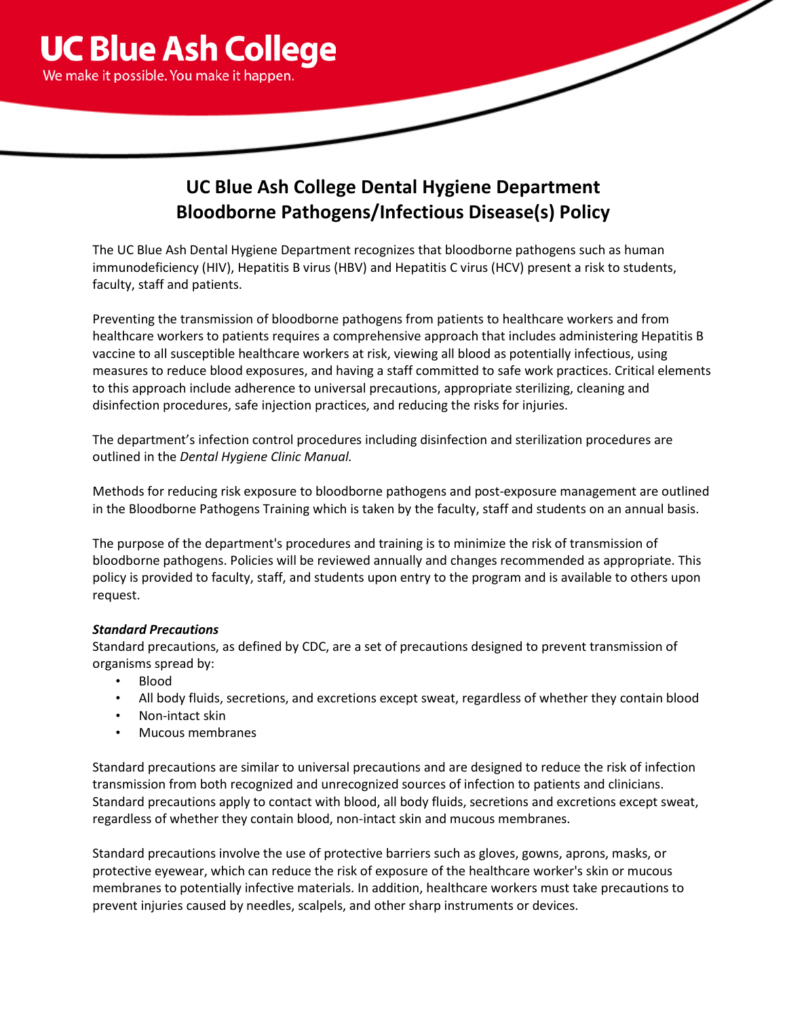

# **UC Blue Ash College Dental Hygiene Department Bloodborne Pathogens/Infectious Disease(s) Policy**

The UC Blue Ash Dental Hygiene Department recognizes that bloodborne pathogens such as human immunodeficiency (HIV), Hepatitis B virus (HBV) and Hepatitis C virus (HCV) present a risk to students, faculty, staff and patients.

Preventing the transmission of bloodborne pathogens from patients to healthcare workers and from healthcare workers to patients requires a comprehensive approach that includes administering Hepatitis B vaccine to all susceptible healthcare workers at risk, viewing all blood as potentially infectious, using measures to reduce blood exposures, and having a staff committed to safe work practices. Critical elements to this approach include adherence to universal precautions, appropriate sterilizing, cleaning and disinfection procedures, safe injection practices, and reducing the risks for injuries.

The department's infection control procedures including disinfection and sterilization procedures are outlined in the *Dental Hygiene Clinic Manual.*

Methods for reducing risk exposure to bloodborne pathogens and post-exposure management are outlined in the Bloodborne Pathogens Training which is taken by the faculty, staff and students on an annual basis.

The purpose of the department's procedures and training is to minimize the risk of transmission of bloodborne pathogens. Policies will be reviewed annually and changes recommended as appropriate. This policy is provided to faculty, staff, and students upon entry to the program and is available to others upon request.

# *Standard Precautions*

Standard precautions, as defined by CDC, are a set of precautions designed to prevent transmission of organisms spread by:

- Blood
- All body fluids, secretions, and excretions except sweat, regardless of whether they contain blood
- Non-intact skin
- Mucous membranes

Standard precautions are similar to universal precautions and are designed to reduce the risk of infection transmission from both recognized and unrecognized sources of infection to patients and clinicians. Standard precautions apply to contact with blood, all body fluids, secretions and excretions except sweat, regardless of whether they contain blood, non-intact skin and mucous membranes.

Standard precautions involve the use of protective barriers such as gloves, gowns, aprons, masks, or protective eyewear, which can reduce the risk of exposure of the healthcare worker's skin or mucous membranes to potentially infective materials. In addition, healthcare workers must take precautions to prevent injuries caused by needles, scalpels, and other sharp instruments or devices.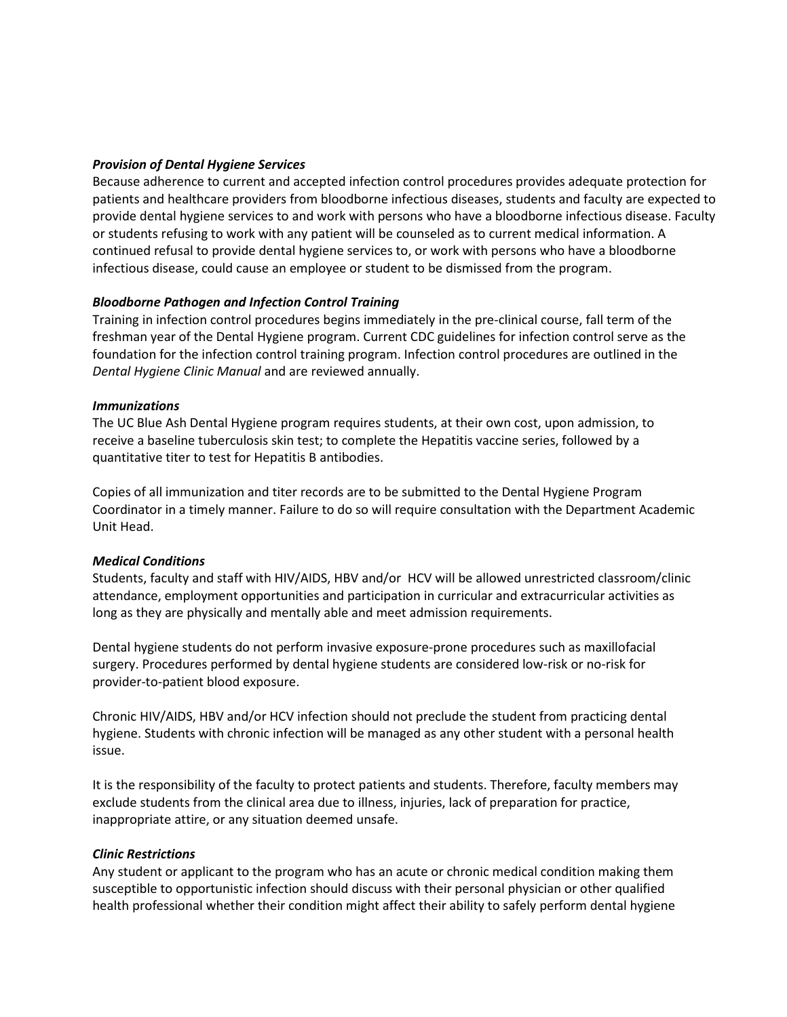## *Provision of Dental Hygiene Services*

Because adherence to current and accepted infection control procedures provides adequate protection for patients and healthcare providers from bloodborne infectious diseases, students and faculty are expected to provide dental hygiene services to and work with persons who have a bloodborne infectious disease. Faculty or students refusing to work with any patient will be counseled as to current medical information. A continued refusal to provide dental hygiene services to, or work with persons who have a bloodborne infectious disease, could cause an employee or student to be dismissed from the program.

## *Bloodborne Pathogen and Infection Control Training*

Training in infection control procedures begins immediately in the pre-clinical course, fall term of the freshman year of the Dental Hygiene program. Current CDC guidelines for infection control serve as the foundation for the infection control training program. Infection control procedures are outlined in the *Dental Hygiene Clinic Manual* and are reviewed annually.

## *Immunizations*

The UC Blue Ash Dental Hygiene program requires students, at their own cost, upon admission, to receive a baseline tuberculosis skin test; to complete the Hepatitis vaccine series, followed by a quantitative titer to test for Hepatitis B antibodies.

Copies of all immunization and titer records are to be submitted to the Dental Hygiene Program Coordinator in a timely manner. Failure to do so will require consultation with the Department Academic Unit Head.

#### *Medical Conditions*

Students, faculty and staff with HIV/AIDS, HBV and/or HCV will be allowed unrestricted classroom/clinic attendance, employment opportunities and participation in curricular and extracurricular activities as long as they are physically and mentally able and meet admission requirements.

Dental hygiene students do not perform invasive exposure-prone procedures such as maxillofacial surgery. Procedures performed by dental hygiene students are considered low-risk or no-risk for provider-to-patient blood exposure.

Chronic HIV/AIDS, HBV and/or HCV infection should not preclude the student from practicing dental hygiene. Students with chronic infection will be managed as any other student with a personal health issue.

It is the responsibility of the faculty to protect patients and students. Therefore, faculty members may exclude students from the clinical area due to illness, injuries, lack of preparation for practice, inappropriate attire, or any situation deemed unsafe.

#### *Clinic Restrictions*

Any student or applicant to the program who has an acute or chronic medical condition making them susceptible to opportunistic infection should discuss with their personal physician or other qualified health professional whether their condition might affect their ability to safely perform dental hygiene